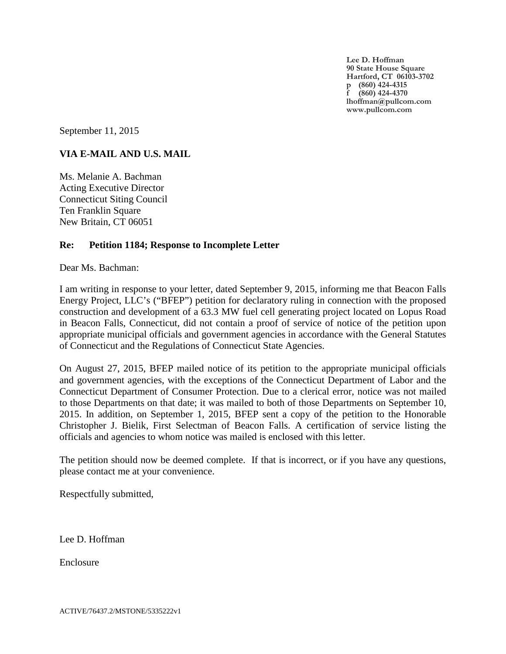**Lee D. Hoffman 90 State House Square Hartford, CT 06103-3702 p (860) 424-4315 f (860) 424-4370 lhoffman@pullcom.com www.pullcom.com**

September 11, 2015

# **VIA E-MAIL AND U.S. MAIL**

Ms. Melanie A. Bachman Acting Executive Director Connecticut Siting Council Ten Franklin Square New Britain, CT 06051

## **Re: Petition 1184; Response to Incomplete Letter**

Dear Ms. Bachman:

I am writing in response to your letter, dated September 9, 2015, informing me that Beacon Falls Energy Project, LLC's ("BFEP") petition for declaratory ruling in connection with the proposed construction and development of a 63.3 MW fuel cell generating project located on Lopus Road in Beacon Falls, Connecticut, did not contain a proof of service of notice of the petition upon appropriate municipal officials and government agencies in accordance with the General Statutes of Connecticut and the Regulations of Connecticut State Agencies.

On August 27, 2015, BFEP mailed notice of its petition to the appropriate municipal officials and government agencies, with the exceptions of the Connecticut Department of Labor and the Connecticut Department of Consumer Protection. Due to a clerical error, notice was not mailed to those Departments on that date; it was mailed to both of those Departments on September 10, 2015. In addition, on September 1, 2015, BFEP sent a copy of the petition to the Honorable Christopher J. Bielik, First Selectman of Beacon Falls. A certification of service listing the officials and agencies to whom notice was mailed is enclosed with this letter.

The petition should now be deemed complete. If that is incorrect, or if you have any questions, please contact me at your convenience.

Respectfully submitted,

Lee D. Hoffman

Enclosure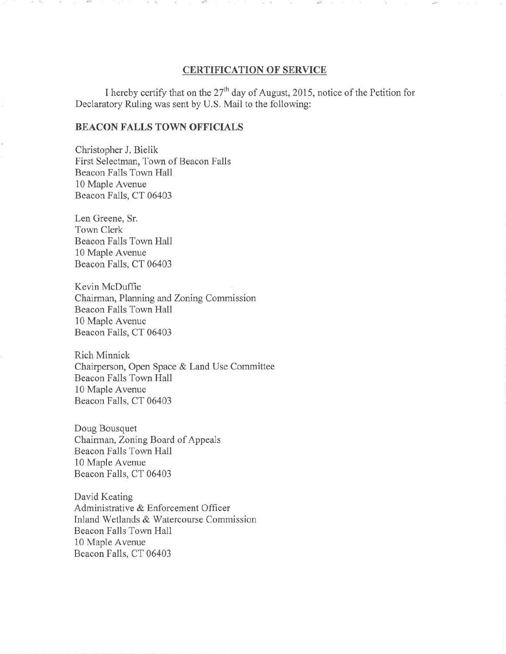#### **CERTIFICATION OF SERVICE**

I hereby certify that on the  $27<sup>th</sup>$  day of August, 2015, notice of the Petition for Declaratory **Ruling** was sent by U.S. Mail to the following:

#### **BEACON FALLS TOWN OFFICIALS**

**Christopher J. Bielik**  First Selectman, Town of Beacon Falls Beacon Falls Town **Hall 10 Maple Avenue**  Beacon Falls, CT 06403

Len Greene, Sr. Town Clerk Beacon Falls Town **Hall 10** Maple Avenue Beacon Falls, CT 06403

Kevin McDuffie Chairman, Planning and Zoning Commission Beacon Falls Town **Hall 10** Maple Avenue Beacon Falls, CT 06403

Rich Minnick Chairperson, Open Space & Land Use Committee Beacon Falls Town **Hall 10** Maple Avenue Beacon Falls, CT 06403

Doug Bousquet Chairman, Zoning Board of Appeals Beacon Falls Town Hall **10** Maple Avenue Beacon Falls, CT 06403

David Keating Administrative & Enforcement Officer Inland Wetlands & Watercourse Commission Beacon Falls Town Hall **10 Maple Avenue**  Beacon Falls, CT 06403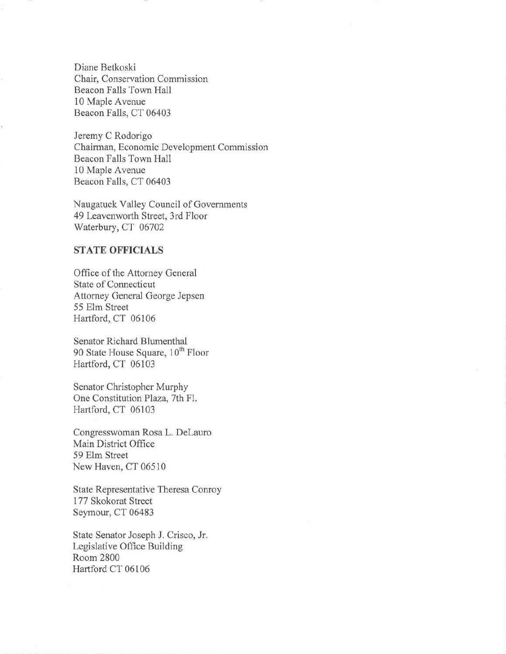Diane Betkoski Chair, Conservation Commission Beacon Falls Town Hall 10 Maple Avenue Beacon Falls, CT 06403

Jeremy C Rodorigo Chairman, Economic Development Commission Beacon Falls Town Hall 10 Maple Avenue Beacon Falls, CT 06403

Naugatuck Valley Council of Governments 49 Leavenworth Street, 3rd Floor Waterbury, CT 06702

### **STATE OFFICIALS**

Office of the Attorney General State of Connecticut Attorney General George Jepsen 55 Elm Street Hartford, CT 06106

Senator Richard Blumenthal 90 State House Square,  $10<sup>th</sup>$  Floor Hartford, CT 06103

Senator Christopher Murphy One Constitution Plaza, 7th Fl. Hartford, CT 06103

Congresswoman Rosa L. DeLauro Main District Office 59 Elm Street New Haven, CT 06510

State Representative Theresa Conroy 177 Skokorat Street Seymour, CT 06483

State Senator Joseph J. Crisco, Jr. Legislative Office Building Room 2800 Hartford CT 06106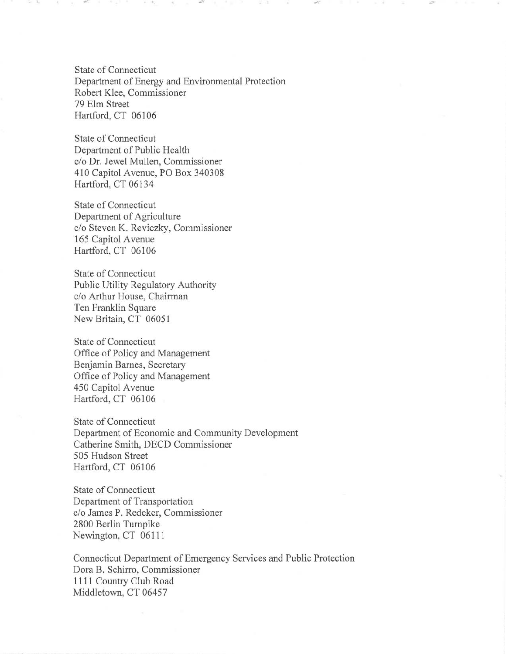State of Connecticut Department of Energy and Environmental Protection Robert Klee, Commissioner 79 Elm Street Hartford, CT 06106

 $\mathcal{A}^{(1)}$  .

State of Connecticut Department of Public Health c/o Dr. Jewel Mullen, Commissioner 410 Capitol Avenue, PO Box 340308 Hartford, CT 06134

State of Connecticut Department of Agriculture c/o Steven K. Reviczky, Commissioner 165 Capitol Avenue Hartford, CT 06106

State of Connecticut Public Utility Regulatory Authority c/o Arthur House, Chairman Ten Franklin Square New Britain, CT 06051

State of Connecticut Office of Policy and Management Benjamin Barnes, Secretary Office of Policy and Management 450 Capitol Avenue Hartford, CT 06106

State of Connecticut Department of Economic and Community Development Catherine Smith, DECD Commissioner 505 Hudson Street Hartford, CT 06106

State of Connecticut Department of Transportation c/o James P. Redeker, Commissioner 2800 Berlin Turnpike Newington, CT 06111

Connecticut Department of Emergency Services and Public Protection Dora B. Schirro, Commissioner 1111 Country Club Road Middletown, CT 06457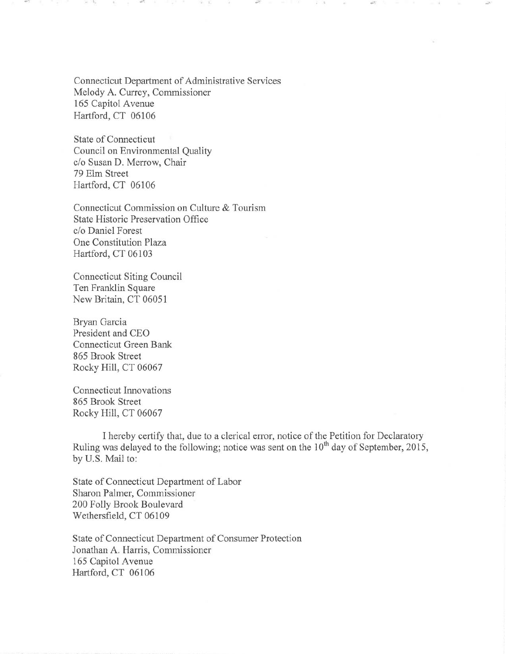Connecticut Department of Administrative Services Melody A. Currey, Commissioner 165 Capitol Avenue Hartford, CT 06106

State of Connecticut Council on Environmental Quality c/o Susan D. Merrow, Chair 79 Elm Street Hartford, CT 06106

Connecticut Commission on Culture & Tourism State Historic Preservation Office c/o Daniel Forest One Constitution Plaza Hartford, CT 06103

Connecticut Siting Council Ten Franklin Square New Britain, CT 06051

Bryan Garcia President and CEO Connecticut Green Bank 865 Brook Street Rocky Hill, CT 06067

Connecticut Innovations 865 Brook Street Rocky Hill, CT 06067

I hereby certify that, due to a clerical error, notice of the Petition for Declaratory Ruling was delayed to the following; notice was sent on the 10<sup>th</sup> day of September, 2015, by U.S. Mail to:

State of Connecticut Department of Labor Sharon Palmer, Commissioner 200 Folly Brook Boulevard Wethersfield, CT 06109

State of Connecticut Department of Consumer Protection Jonathan A. Harris, Commissioner 165 Capitol Avenue Hartford, CT 06106